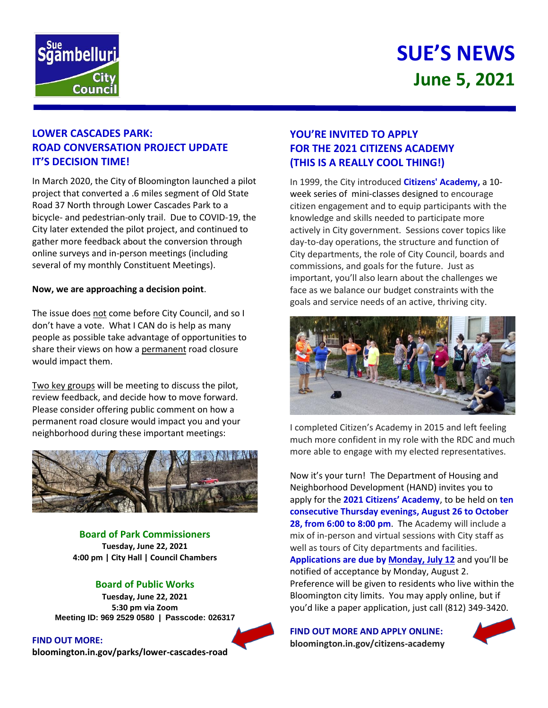

# **SUE'S NEWS June 5, 2021**

## **LOWER CASCADES PARK: ROAD CONVERSATION PROJECT UPDATE IT'S DECISION TIME!**

In March 2020, the City of Bloomington launched a pilot project that converted a .6 miles segment of Old State Road 37 North through Lower Cascades Park to a bicycle- and pedestrian-only trail. Due to COVID-19, the City later extended the pilot project, and continued to gather more feedback about the conversion through online surveys and in-person meetings (including several of my monthly Constituent Meetings).

#### **Now, we are approaching a decision point**.

The issue does not come before City Council, and so I don't have a vote. What I CAN do is help as many people as possible take advantage of opportunities to share their views on how a permanent road closure would impact them.

Two key groups will be meeting to discuss the pilot, review feedback, and decide how to move forward. Please consider offering public comment on how a permanent road closure would impact you and your neighborhood during these important meetings:



**Board of Park Commissioners Tuesday, June 22, 2021 4:00 pm | City Hall | Council Chambers**

#### **Board of Public Works**

**Tuesday, June 22, 2021 5:30 pm via Zoom Meeting ID: 969 2529 0580 | Passcode: 026317**

**FIND OUT MORE: bloomington.in.gov/parks/lower-cascades-road**

## **YOU'RE INVITED TO APPLY FOR THE 2021 CITIZENS ACADEMY (THIS IS A REALLY COOL THING!)**

In 1999, the City introduced **Citizens' Academy,** a 10 week series of mini-classes designed to encourage citizen engagement and to equip participants with the knowledge and skills needed to participate more actively in City government. Sessions cover topics like day-to-day operations, the structure and function of City departments, the role of City Council, boards and commissions, and goals for the future. Just as important, you'll also learn about the challenges we face as we balance our budget constraints with the goals and service needs of an active, thriving city.



I completed Citizen's Academy in 2015 and left feeling much more confident in my role with the RDC and much more able to engage with my elected representatives.

Now it's your turn! The Department of Housing and Neighborhood Development (HAND) invites you to apply for the **2021 Citizens' Academy**, to be held on **ten consecutive Thursday evenings, August 26 to October 28, from 6:00 to 8:00 pm**. The Academy will include a mix of in-person and virtual sessions with City staff as well as tours of City departments and facilities. **Applications are due by Monday, July 12** and you'll be notified of acceptance by Monday, August 2. Preference will be given to residents who live within the Bloomington city limits. You may apply online, but if you'd like a paper application, just call (812) 349-3420.

**FIND OUT MORE AND APPLY ONLINE: bloomington.in.gov/citizens-academy**